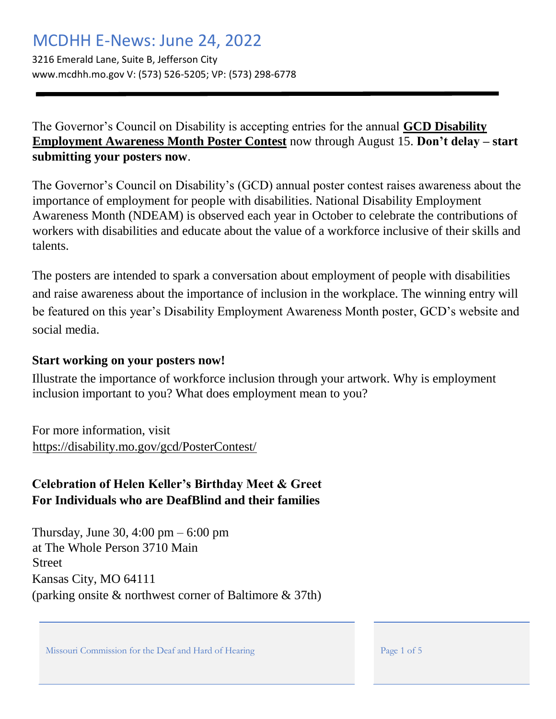# MCDHH E-News: June 24, 2022

3216 Emerald Lane, Suite B, Jefferson City www.mcdhh.mo.gov V: (573) 526-5205; VP: (573) 298-6778

The Governor's Council on Disability is accepting entries for the annual **[GCD Disability](https://disability.mo.gov/gcd/PosterContest/) [Employment Awareness Month Poster Contest](https://disability.mo.gov/gcd/PosterContest/)** now through August 15. **Don't delay – start submitting your posters now**.

The Governor's Council on Disability's (GCD) annual poster contest raises awareness about the importance of employment for people with disabilities. National Disability Employment Awareness Month (NDEAM) is observed each year in October to celebrate the contributions of workers with disabilities and educate about the value of a workforce inclusive of their skills and talents.

The posters are intended to spark a conversation about employment of people with disabilities and raise awareness about the importance of inclusion in the workplace. The winning entry will be featured on this year's Disability Employment Awareness Month poster, GCD's website and social media.

#### **Start working on your posters now!**

Illustrate the importance of workforce inclusion through your artwork. Why is employment inclusion important to you? What does employment mean to you?

For more information, visit <https://disability.mo.gov/gcd/PosterContest/>

### **Celebration of Helen Keller's Birthday Meet & Greet For Individuals who are DeafBlind and their families**

Thursday, June 30, 4:00 pm  $-6:00$  pm at The Whole Person 3710 Main **Street** Kansas City, MO 64111 (parking onsite & northwest corner of Baltimore & 37th)

Missouri Commission for the Deaf and Hard of Hearing Page 1 of 5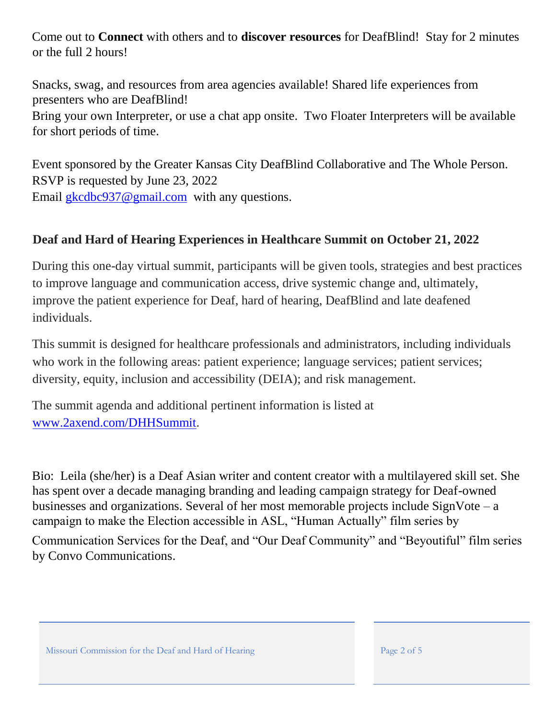Come out to **Connect** with others and to **discover resources** for DeafBlind! Stay for 2 minutes or the full 2 hours!

Snacks, swag, and resources from area agencies available! Shared life experiences from presenters who are DeafBlind!

Bring your own Interpreter, or use a chat app onsite. Two Floater Interpreters will be available for short periods of time.

Event sponsored by the Greater Kansas City DeafBlind Collaborative and The Whole Person. RSVP is requested by June 23, 2022 Email gkcdbc937@gmail.com with any questions.

#### **Deaf and Hard of Hearing Experiences in Healthcare Summit on October 21, 2022**

During this one-day virtual summit, participants will be given tools, strategies and best practices to improve language and communication access, drive systemic change and, ultimately, improve the patient experience for Deaf, hard of hearing, DeafBlind and late deafened individuals.

This summit is designed for healthcare professionals and administrators, including individuals who work in the following areas: patient experience; language services; patient services; diversity, equity, inclusion and accessibility (DEIA); and risk management.

The summit agenda and additional pertinent information is listed at [www.2axend.com/DHHSummit.](https://urldefense.com/v3/__http:/www.2axend.com/DHHSummit__;!!EErPFA7f--AJOw!UkFD60DF8JU8DlXFCXxCu2vMN99X_FCk8Tkco-RmOj6zS5bFiOSJBoP6n-rTMcz-efA6WbE$)

Bio: Leila (she/her) is a Deaf Asian writer and content creator with a multilayered skill set. She has spent over a decade managing branding and leading campaign strategy for Deaf-owned businesses and organizations. Several of her most memorable projects include  $SignVote - a$ campaign to make the Election accessible in ASL, "Human Actually" film series by

Communication Services for the Deaf, and "Our Deaf Community" and "Beyoutiful" film series by Convo Communications.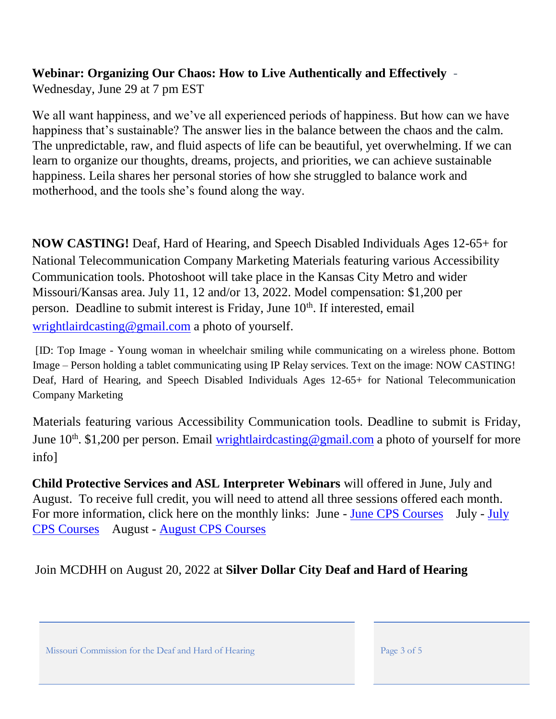## **Webinar: Organizing Our Chaos: How to Live Authentically and Effectively** -

Wednesday, June 29 at 7 pm EST

We all want happiness, and we've all experienced periods of happiness. But how can we have happiness that's sustainable? The answer lies in the balance between the chaos and the calm. The unpredictable, raw, and fluid aspects of life can be beautiful, yet overwhelming. If we can learn to organize our thoughts, dreams, projects, and priorities, we can achieve sustainable happiness. Leila shares her personal stories of how she struggled to balance work and motherhood, and the tools she's found along the way.

**NOW CASTING!** Deaf, Hard of Hearing, and Speech Disabled Individuals Ages 12-65+ for National Telecommunication Company Marketing Materials featuring various Accessibility Communication tools. Photoshoot will take place in the Kansas City Metro and wider Missouri/Kansas area. July 11, 12 and/or 13, 2022. Model compensation: \$1,200 per person. Deadline to submit interest is Friday, June 10<sup>th</sup>. If interested, email wrightlairdcasting@gmail.com a photo of yourself.

[ID: Top Image - Young woman in wheelchair smiling while communicating on a wireless phone. Bottom Image – Person holding a tablet communicating using IP Relay services. Text on the image: NOW CASTING! Deaf, Hard of Hearing, and Speech Disabled Individuals Ages 12-65+ for National Telecommunication Company Marketing

Materials featuring various Accessibility Communication tools. Deadline to submit is Friday, June 10<sup>th</sup>. \$1,200 per person. Email wrightlairdcasting@gmail.com a photo of yourself for more info]

**Child Protective Services and ASL Interpreter Webinars** will offered in June, July and August. To receive full credit, you will need to attend all three sessions offered each month. For more information, click here on the monthly links: June [-](file://///OAADMINFILES/MCDHHFILE/ENews%20KEEP/Old%20ENEWS%20Docs/Educational%20CPS%20Flyer-June%2022.pdf) [June CPS Courses](file://///OAADMINFILES/MCDHHFILE/ENews%20KEEP/Old%20ENEWS%20Docs/Educational%20CPS%20Flyer-June%2022.pdf) [July](file://///OAADMINFILES/MCDHHFILE/ENews%20KEEP/Old%20ENEWS%20Docs/CPS%20and%20the%20CPC%20July%202022%20Flyer.pdf) - July [CPS Courses](file://///OAADMINFILES/MCDHHFILE/ENews%20KEEP/Old%20ENEWS%20Docs/CPS%20and%20the%20CPC%20July%202022%20Flyer.pdf) August - [August CPS Courses](file://///OAADMINFILES/MCDHHFILE/ENews%20KEEP/Old%20ENEWS%20Docs/Aug%202022%20Flyer-TIIWC%20(2).pdf)

Join MCDHH on August 20, 2022 at **Silver Dollar City Deaf and Hard of Hearing** 

Missouri Commission for the Deaf and Hard of Hearing Page 3 of 5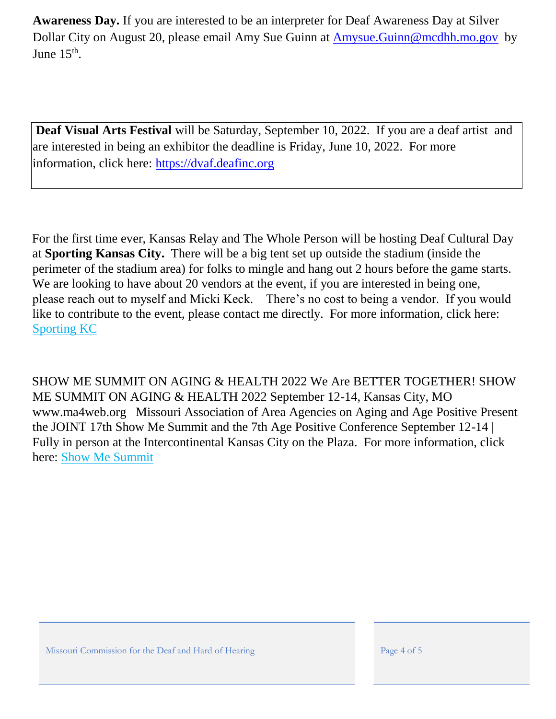**Awareness Day.** If you are interested to be an interpreter for Deaf Awareness Day at Silver Dollar City on August 20, please email Amy Sue Guinn at Amysue.Guinn@mcdhh.mo.gov by June  $15^{\text{th}}$ .

**Deaf Visual Arts Festival** will be Saturday, September 10, 2022. If you are a deaf artist and are interested in being an exhibitor the deadline is Friday, June 10, 2022. For more information, click here: [https://dvaf.deafinc.org](https://dvaf.deafinc.org/)

For the first time ever, Kansas Relay and The Whole Person will be hosting Deaf Cultural Day at **Sporting Kansas City.** There will be a big tent set up outside the stadium (inside the perimeter of the stadium area) for folks to mingle and hang out 2 hours before the game starts. We are looking to have about 20 vendors at the event, if you are interested in being one, please reach out to myself and Micki Keck. There's no cost to being a vendor. If you would like to contribute to the event, please contact me directly. For more information, click here[:](file://///OAADMINFILES/MCDHHFILE/ENews%20KEEP/Old%20ENEWS%20Docs/SKC%20Save%20the%20Date.pdf) [Sporting KC](https://mcdhh.mo.gov/assets/sites/12/SKC-Save-the-Date.pdf)

SHOW ME SUMMIT ON AGING & HEALTH 2022 We Are BETTER TOGETHER! SHOW ME SUMMIT ON AGING & HEALTH 2022 September 12-14, Kansas City, MO www.ma4web.org Missouri Association of Area Agencies on Aging and Age Positive Present the JOINT 17th Show Me Summit and the 7th Age Positive Conference September 12-14 | Fully in person at the Intercontinental Kansas City on the Plaza. For more information, click here: [Show Me Summit](http://www.ma4web.org/summit)